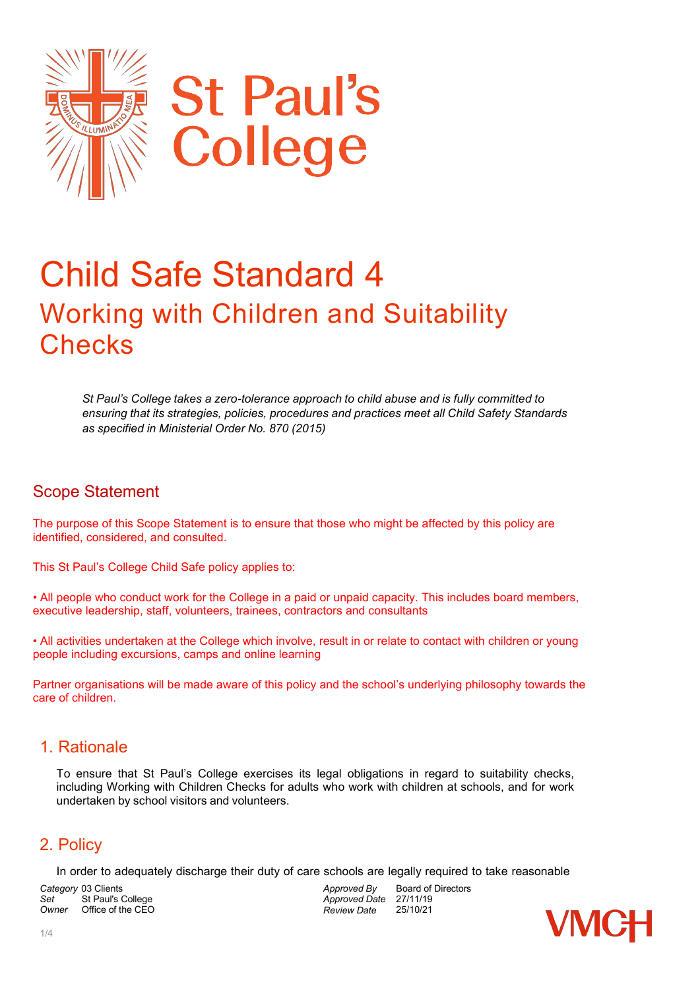

# Child Safe Standard 4 Working with Children and Suitability **Checks**

*St Paul's College takes a zero-tolerance approach to child abuse and is fully committed to ensuring that its strategies, policies, procedures and practices meet all Child Safety Standards as specified in Ministerial Order No. 870 (2015)*

#### Scope Statement

The purpose of this Scope Statement is to ensure that those who might be affected by this policy are identified, considered, and consulted.

This St Paul's College Child Safe policy applies to:

• All people who conduct work for the College in a paid or unpaid capacity. This includes board members, executive leadership, staff, volunteers, trainees, contractors and consultants

• All activities undertaken at the College which involve, result in or relate to contact with children or young people including excursions, camps and online learning

Partner organisations will be made aware of this policy and the school's underlying philosophy towards the care of children.

#### 1. Rationale

To ensure that St Paul's College exercises its legal obligations in regard to suitability checks, including Working with Children Checks for adults who work with children at schools, and for work undertaken by school visitors and volunteers.

# 2. Policy

In order to adequately discharge their duty of care schools are legally required to take reasonable

*Category* 03 Clients Set St Paul's College<br>
Owner Office of the CEC *Office of the CEO*  *Approved By Approved Date Review Date* Board of Directors 27/11/19 25/10/21

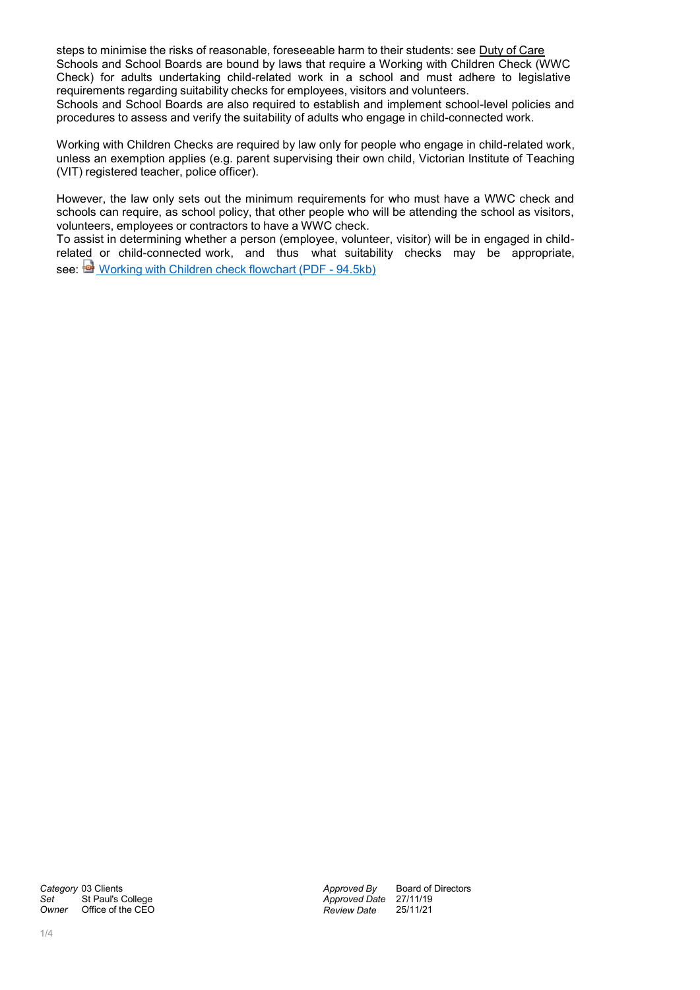steps to minimise the risks of reasonable, foreseeable harm to their students: see Duty of Care Schools and School Boards are bound by laws that require a Working with Children Check (WWC Check) for adults undertaking child-related work in a school and must adhere to legislative requirements regarding suitability checks for employees, visitors and volunteers.

Schools and School Boards are also required to establish and implement school-level policies and procedures to assess and verify the suitability of adults who engage in child-connected work.

Working with Children Checks are required by law only for people who engage in child-related work, unless an exemption applies (e.g. parent supervising their own child, Victorian Institute of Teaching (VIT) registered teacher, police officer).

However, the law only sets out the minimum requirements for who must have a WWC check and schools can require, as school policy, that other people who will be attending the school as visitors, volunteers, employees or contractors to have a WWC check.

To assist in determining whether a person (employee, volunteer, visitor) will be in engaged in childrelated or child-connected work, and thus what suitability checks may be appropriate, see: Working with Children check [flowchart](http://www.education.vic.gov.au/Documents/school/principals/spag/community/WWCCflowchart.pdf) (PDF - 94.5kb)

*Category* 03 Clients Set St Paul's College<br>
Owner Office of the CEO **Office of the CEO**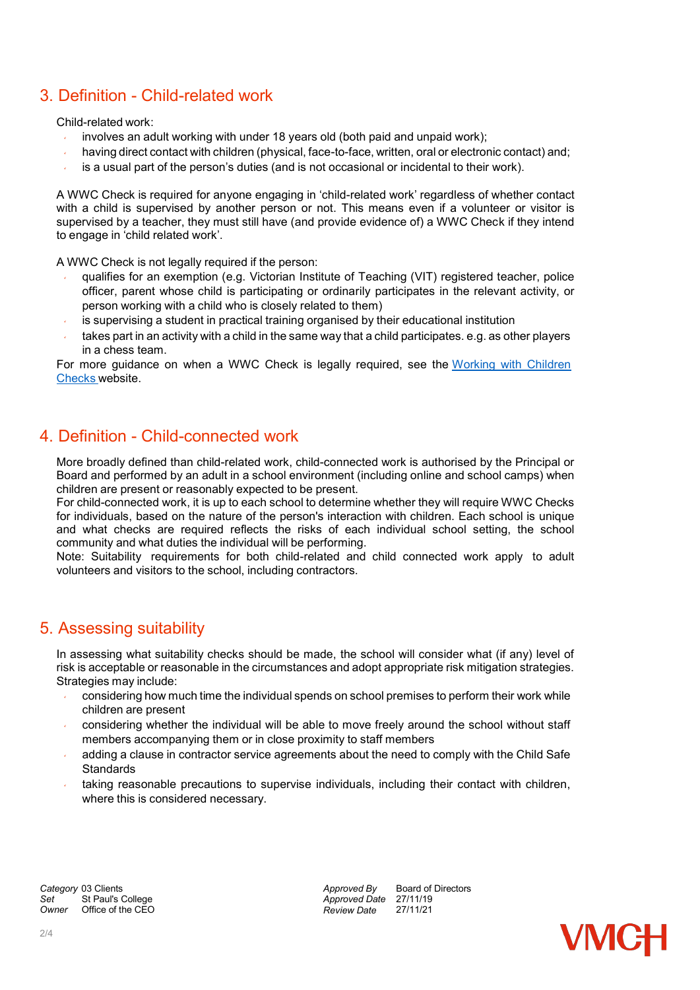# 3. Definition - Child-related work

#### Child-related work:

- involves an adult working with under 18 years old (both paid and unpaid work);
- having direct contact with children (physical, face-to-face, written, oral or electronic contact) and;
- is a usual part of the person's duties (and is not occasional or incidental to their work).

A WWC Check is required for anyone engaging in 'child-related work' regardless of whether contact with a child is supervised by another person or not. This means even if a volunteer or visitor is supervised by a teacher, they must still have (and provide evidence of) a WWC Check if they intend to engage in 'child related work'.

A WWC Check is not legally required if the person:

- qualifies for an exemption (e.g. Victorian Institute of Teaching (VIT) registered teacher, police officer, parent whose child is participating or ordinarily participates in the relevant activity, or person working with a child who is closely related to them)
- is supervising a student in practical training organised by their educational institution
- takes part in an activity with a child in the same way that a child participates. e.g. as other players in a chess team.

For more guidance on when a WWC Check is legally required, see the Working with [Children](http://www.workingwithchildren.vic.gov.au/home/about%2Bthe%2Bcheck/who%2Bneeds%2Ba%2Bcheck/) [Checks](http://www.workingwithchildren.vic.gov.au/home/about%2Bthe%2Bcheck/who%2Bneeds%2Ba%2Bcheck/) website.

#### 4. Definition - Child-connected work

More broadly defined than child-related work, child-connected work is authorised by the Principal or Board and performed by an adult in a school environment (including online and school camps) when children are present or reasonably expected to be present.

For child-connected work, it is up to each school to determine whether they will require WWC Checks for individuals, based on the nature of the person's interaction with children. Each school is unique and what checks are required reflects the risks of each individual school setting, the school community and what duties the individual will be performing.

Note: Suitability requirements for both child-related and child connected work apply to adult volunteers and visitors to the school, including contractors.

#### 5. Assessing suitability

In assessing what suitability checks should be made, the school will consider what (if any) level of risk is acceptable or reasonable in the circumstances and adopt appropriate risk mitigation strategies. Strategies may include:

- considering how much time the individual spends on school premises to perform their work while children are present
- considering whether the individual will be able to move freely around the school without staff members accompanying them or in close proximity to staff members
- adding a clause in contractor service agreements about the need to comply with the Child Safe **Standards**
- taking reasonable precautions to supervise individuals, including their contact with children, where this is considered necessary.

*Category* 03 Clients Set St Paul's College<br>
Owner Office of the CEC *Office of the CEO*  *Approved By Approved Date Review Date* Board of Directors 27/11/19 27/11/21

**VMCH**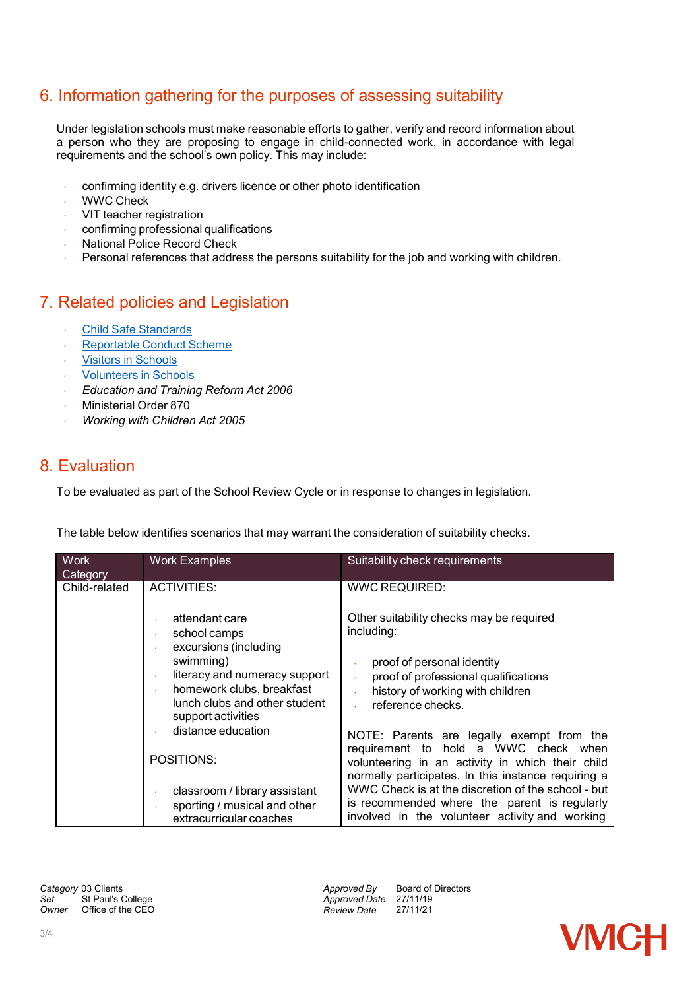# 6. Information gathering for the purposes of assessing suitability

Under legislation schools must make reasonable efforts to gather, verify and record information about a person who they are proposing to engage in child-connected work, in accordance with legal requirements and the school's own policy. This may include:

- confirming identity e.g. drivers licence or other photo identification
- WWC Check
- VIT teacher registration
- confirming professional qualifications
- National Police Record Check
- Personal references that address the persons suitability for the job and working with children.

### 7. Related policies and Legislation

- Child Safe [Standards](http://www.education.vic.gov.au/school/principals/spag/safety/Pages/childsafestandards.aspx)
- [Reportable](http://www.education.vic.gov.au/school/principals/spag/safety/Pages/reportableconductscheme.aspx) Conduct Scheme
- Visitors in [Schools](http://www.education.vic.gov.au/school/principals/spag/safety/pages/visitorsinschool.aspx)
- [Volunteers](http://www.education.vic.gov.au/school/principals/spag/governance/pages/volunteers.aspx) in Schools
- *Education and Training Reform Act 2006*
- Ministerial Order 870
- *Working with Children Act 2005*

#### 8. Evaluation

To be evaluated as part of the School Review Cycle or in response to changes in legislation.

The table below identifies scenarios that may warrant the consideration of suitability checks.

| <b>Work</b><br><b>Category</b> | <b>Work Examples</b>                                                                                                   | Suitability check requirements                                                                                                                                                                                                                                                                                                                       |
|--------------------------------|------------------------------------------------------------------------------------------------------------------------|------------------------------------------------------------------------------------------------------------------------------------------------------------------------------------------------------------------------------------------------------------------------------------------------------------------------------------------------------|
| Child-related                  | ACTIVITIES:                                                                                                            | <b>WWC REQUIRED:</b>                                                                                                                                                                                                                                                                                                                                 |
|                                | attendant care<br>school camps<br>v<br>excursions (including<br>¥.<br>swimming)                                        | Other suitability checks may be required<br>including:<br>proof of personal identity                                                                                                                                                                                                                                                                 |
|                                | literacy and numeracy support<br>homework clubs, breakfast<br>v<br>lunch clubs and other student<br>support activities | proof of professional qualifications<br>v<br>history of working with children<br>reference checks.                                                                                                                                                                                                                                                   |
|                                | distance education<br>POSITIONS:                                                                                       | NOTE: Parents are legally exempt from the<br>requirement to hold a WWC check when<br>volunteering in an activity in which their child<br>normally participates. In this instance requiring a<br>WWC Check is at the discretion of the school - but<br>is recommended where the parent is regularly<br>involved in the volunteer activity and working |
|                                | classroom / library assistant<br>sporting / musical and other<br>extracurricular coaches                               |                                                                                                                                                                                                                                                                                                                                                      |